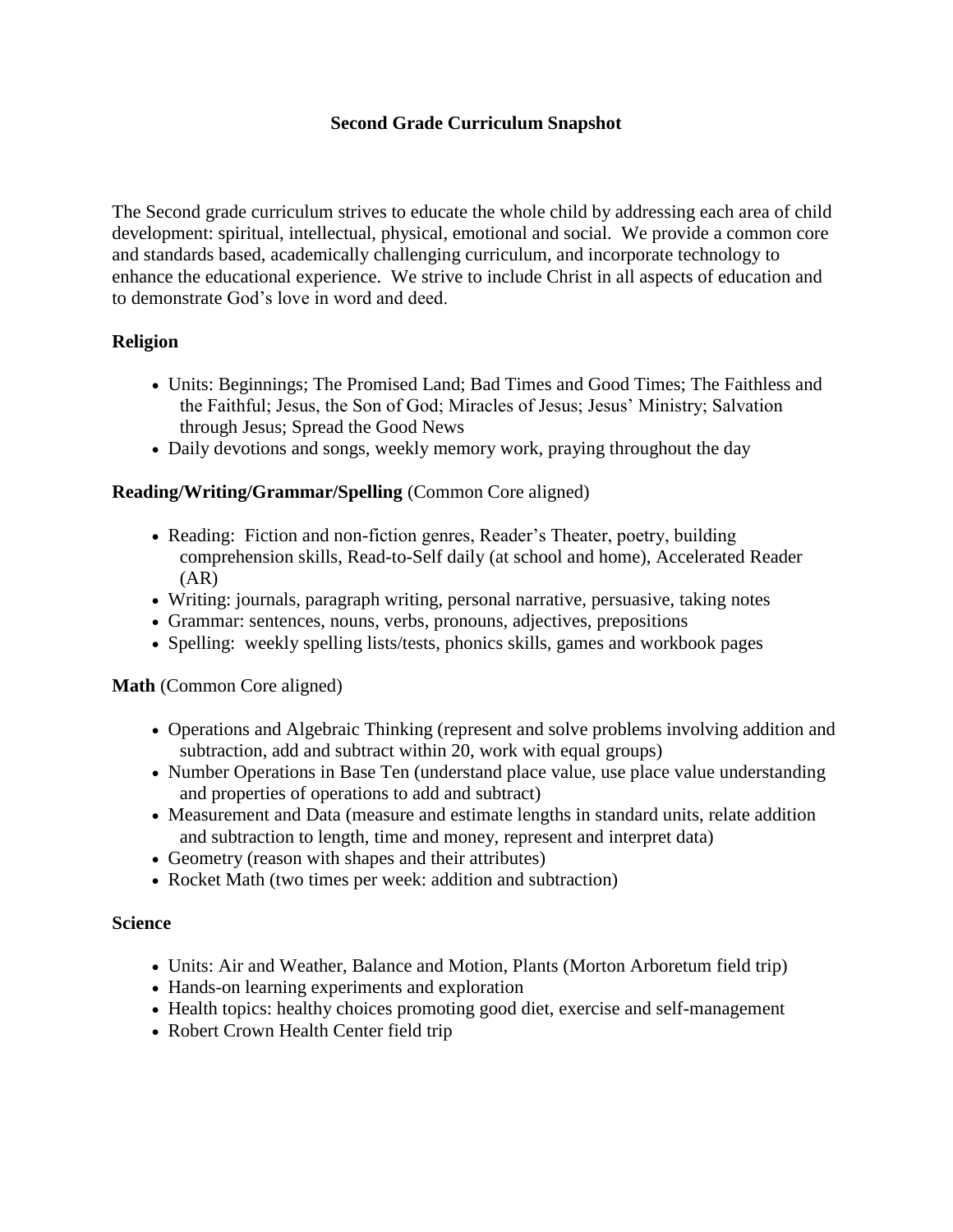# **Second Grade Curriculum Snapshot**

The Second grade curriculum strives to educate the whole child by addressing each area of child development: spiritual, intellectual, physical, emotional and social. We provide a common core and standards based, academically challenging curriculum, and incorporate technology to enhance the educational experience. We strive to include Christ in all aspects of education and to demonstrate God's love in word and deed.

### **Religion**

- Units: Beginnings; The Promised Land; Bad Times and Good Times; The Faithless and the Faithful; Jesus, the Son of God; Miracles of Jesus; Jesus' Ministry; Salvation through Jesus; Spread the Good News
- Daily devotions and songs, weekly memory work, praying throughout the day

# **Reading/Writing/Grammar/Spelling** (Common Core aligned)

- Reading: Fiction and non-fiction genres, Reader's Theater, poetry, building comprehension skills, Read-to-Self daily (at school and home), Accelerated Reader (AR)
- Writing: journals, paragraph writing, personal narrative, persuasive, taking notes
- Grammar: sentences, nouns, verbs, pronouns, adjectives, prepositions
- Spelling: weekly spelling lists/tests, phonics skills, games and workbook pages

### **Math** (Common Core aligned)

- Operations and Algebraic Thinking (represent and solve problems involving addition and subtraction, add and subtract within 20, work with equal groups)
- Number Operations in Base Ten (understand place value, use place value understanding and properties of operations to add and subtract)
- Measurement and Data (measure and estimate lengths in standard units, relate addition and subtraction to length, time and money, represent and interpret data)
- Geometry (reason with shapes and their attributes)
- Rocket Math (two times per week: addition and subtraction)

### **Science**

- Units: Air and Weather, Balance and Motion, Plants (Morton Arboretum field trip)
- Hands-on learning experiments and exploration
- Health topics: healthy choices promoting good diet, exercise and self-management
- Robert Crown Health Center field trip